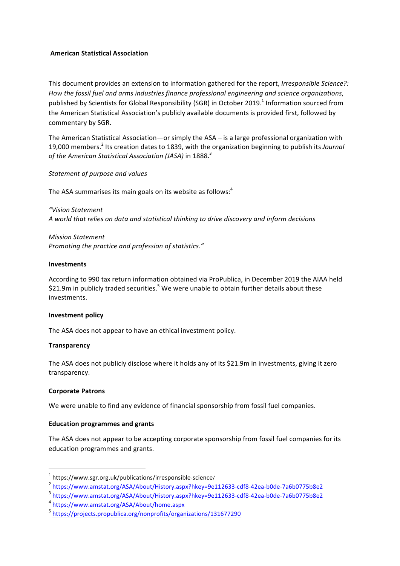## **American Statistical Association**

This document provides an extension to information gathered for the report, *Irresponsible Science?*: How the fossil fuel and arms industries finance professional engineering and science organizations, published by Scientists for Global Responsibility (SGR) in October 2019.<sup>1</sup> Information sourced from the American Statistical Association's publicly available documents is provided first, followed by commentary by SGR.

The American Statistical Association—or simply the  $ASA -$  is a large professional organization with 19,000 members.<sup>2</sup> Its creation dates to 1839, with the organization beginning to publish its *Journal* of the American Statistical Association (JASA) in 1888.<sup>3</sup>

*Statement of purpose and values*

The ASA summarises its main goals on its website as follows: $4$ 

*"Vision Statement A world that relies on data and statistical thinking to drive discovery and inform decisions*

*Mission Statement Promoting the practice and profession of statistics."* 

## **Investments**

According to 990 tax return information obtained via ProPublica, in December 2019 the AIAA held \$21.9m in publicly traded securities.<sup>5</sup> We were unable to obtain further details about these investments.

## **Investment policy**

The ASA does not appear to have an ethical investment policy.

## **Transparency**

The ASA does not publicly disclose where it holds any of its \$21.9m in investments, giving it zero transparency.

## **Corporate Patrons**

We were unable to find any evidence of financial sponsorship from fossil fuel companies.

## **Education programmes and grants**

 

The ASA does not appear to be accepting corporate sponsorship from fossil fuel companies for its education programmes and grants.

 $1$  https://www.sgr.org.uk/publications/irresponsible-science/

<sup>2</sup> https://www.amstat.org/ASA/About/History.aspx?hkey=9e112633-cdf8-42ea-b0de-7a6b0775b8e2

<sup>3</sup> https://www.amstat.org/ASA/About/History.aspx?hkey=9e112633-cdf8-42ea-b0de-7a6b0775b8e2

<sup>4</sup> https://www.amstat.org/ASA/About/home.aspx

<sup>5</sup> https://projects.propublica.org/nonprofits/organizations/131677290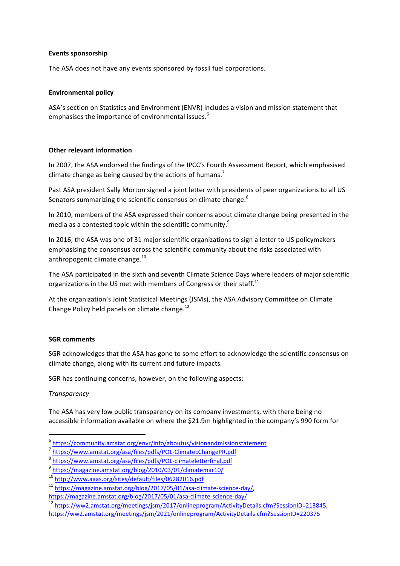## **Events sponsorship**

The ASA does not have any events sponsored by fossil fuel corporations.

## **Environmental policy**

ASA's section on Statistics and Environment (ENVR) includes a vision and mission statement that emphasises the importance of environmental issues.<sup>6</sup>

# **Other relevant information**

In 2007, the ASA endorsed the findings of the IPCC's Fourth Assessment Report, which emphasised climate change as being caused by the actions of humans.<sup>7</sup>

Past ASA president Sally Morton signed a joint letter with presidents of peer organizations to all US Senators summarizing the scientific consensus on climate change.<sup>8</sup>

In 2010, members of the ASA expressed their concerns about climate change being presented in the media as a contested topic within the scientific community. $9$ 

In 2016, the ASA was one of 31 major scientific organizations to sign a letter to US policymakers emphasising the consensus across the scientific community about the risks associated with anthropogenic climate change. $^{10}$ 

The ASA participated in the sixth and seventh Climate Science Days where leaders of major scientific organizations in the US met with members of Congress or their staff.<sup>11</sup>

At the organization's Joint Statistical Meetings (JSMs), the ASA Advisory Committee on Climate Change Policy held panels on climate change.<sup>12</sup>

## **SGR** comments

SGR acknowledges that the ASA has gone to some effort to acknowledge the scientific consensus on climate change, along with its current and future impacts.

SGR has continuing concerns, however, on the following aspects:

# *Transparency*

 

The ASA has very low public transparency on its company investments, with there being no accessible information available on where the \$21.9m highlighted in the company's 990 form for

<sup>6</sup> https://community.amstat.org/envr/info/aboutus/visionandmissionstatement

<sup>7</sup> https://www.amstat.org/asa/files/pdfs/POL-ClimatecChangePR.pdf

<sup>8</sup> https://www.amstat.org/asa/files/pdfs/POL-climateletterfinal.pdf

<sup>9</sup> https://magazine.amstat.org/blog/2010/03/01/climatemar10/

<sup>10</sup> http://www.aaas.org/sites/default/files/06282016.pdf

<sup>11</sup> https://magazine.amstat.org/blog/2017/05/01/asa-climate-science-day/, 

https://magazine.amstat.org/blog/2017/05/01/asa-climate-science-day/

<sup>12</sup> https://ww2.amstat.org/meetings/jsm/2017/onlineprogram/ActivityDetails.cfm?SessionID=213845, 

https://ww2.amstat.org/meetings/jsm/2021/onlineprogram/ActivityDetails.cfm?SessionID=220375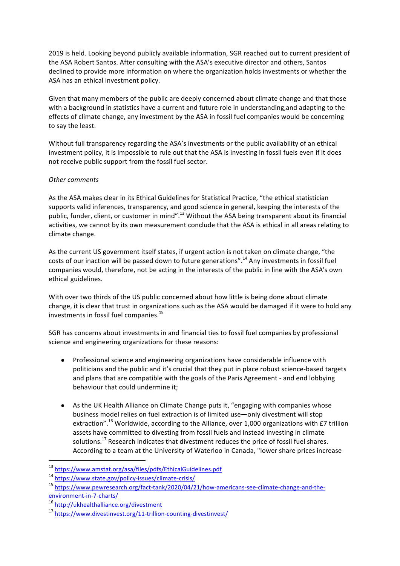2019 is held. Looking beyond publicly available information, SGR reached out to current president of the ASA Robert Santos. After consulting with the ASA's executive director and others, Santos declined to provide more information on where the organization holds investments or whether the ASA has an ethical investment policy.

Given that many members of the public are deeply concerned about climate change and that those with a background in statistics have a current and future role in understanding, and adapting to the effects of climate change, any investment by the ASA in fossil fuel companies would be concerning to say the least.

Without full transparency regarding the ASA's investments or the public availability of an ethical investment policy, it is impossible to rule out that the ASA is investing in fossil fuels even if it does not receive public support from the fossil fuel sector.

# *Other comments*

As the ASA makes clear in its Ethical Guidelines for Statistical Practice, "the ethical statistician supports valid inferences, transparency, and good science in general, keeping the interests of the public, funder, client, or customer in mind".<sup>13</sup> Without the ASA being transparent about its financial activities, we cannot by its own measurement conclude that the ASA is ethical in all areas relating to climate change.

As the current US government itself states, if urgent action is not taken on climate change, "the costs of our inaction will be passed down to future generations".<sup>14</sup> Any investments in fossil fuel companies would, therefore, not be acting in the interests of the public in line with the ASA's own ethical guidelines.

With over two thirds of the US public concerned about how little is being done about climate change, it is clear that trust in organizations such as the ASA would be damaged if it were to hold any investments in fossil fuel companies. $^{15}$ 

SGR has concerns about investments in and financial ties to fossil fuel companies by professional science and engineering organizations for these reasons:

- Professional science and engineering organizations have considerable influence with politicians and the public and it's crucial that they put in place robust science-based targets and plans that are compatible with the goals of the Paris Agreement - and end lobbying behaviour that could undermine it;
- As the UK Health Alliance on Climate Change puts it, "engaging with companies whose business model relies on fuel extraction is of limited use—only divestment will stop extraction".<sup>16</sup> Worldwide, according to the Alliance, over 1,000 organizations with £7 trillion assets have committed to divesting from fossil fuels and instead investing in climate solutions.<sup>17</sup> Research indicates that divestment reduces the price of fossil fuel shares. According to a team at the University of Waterloo in Canada, "lower share prices increase

 

<sup>13</sup> https://www.amstat.org/asa/files/pdfs/EthicalGuidelines.pdf

<sup>14</sup> https://www.state.gov/policy-issues/climate-crisis/

<sup>15</sup> https://www.pewresearch.org/fact-tank/2020/04/21/how-americans-see-climate-change-and-theenvironment-in-7-charts/

<sup>16</sup> http://ukhealthalliance.org/divestment

<sup>17</sup> https://www.divestinvest.org/11-trillion-counting-divestinvest/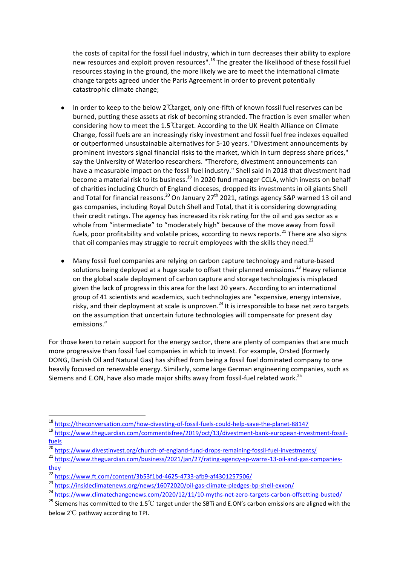the costs of capital for the fossil fuel industry, which in turn decreases their ability to explore new resources and exploit proven resources".<sup>18</sup> The greater the likelihood of these fossil fuel resources staving in the ground, the more likely we are to meet the international climate change targets agreed under the Paris Agreement in order to prevent potentially catastrophic climate change;

- In order to keep to the below  $2^{\circ}$ Garget, only one-fifth of known fossil fuel reserves can be burned, putting these assets at risk of becoming stranded. The fraction is even smaller when considering how to meet the  $1.5^{\circ}$ Carget. According to the UK Health Alliance on Climate Change, fossil fuels are an increasingly risky investment and fossil fuel free indexes equalled or outperformed unsustainable alternatives for 5-10 years. "Divestment announcements by prominent investors signal financial risks to the market, which in turn depress share prices." say the University of Waterloo researchers. "Therefore, divestment announcements can have a measurable impact on the fossil fuel industry." Shell said in 2018 that divestment had become a material risk to its business.<sup>19</sup> In 2020 fund manager CCLA, which invests on behalf of charities including Church of England dioceses, dropped its investments in oil giants Shell and Total for financial reasons.<sup>20</sup> On January 27<sup>th</sup> 2021, ratings agency S&P warned 13 oil and gas companies, including Royal Dutch Shell and Total, that it is considering downgrading their credit ratings. The agency has increased its risk rating for the oil and gas sector as a whole from "intermediate" to "moderately high" because of the move away from fossil fuels, poor profitability and volatile prices, according to news reports.<sup>21</sup> There are also signs that oil companies may struggle to recruit employees with the skills they need.<sup>22</sup>
- Many fossil fuel companies are relying on carbon capture technology and nature-based solutions being deployed at a huge scale to offset their planned emissions.<sup>23</sup> Heavy reliance on the global scale deployment of carbon capture and storage technologies is misplaced given the lack of progress in this area for the last 20 years. According to an international group of 41 scientists and academics, such technologies are "expensive, energy intensive, risky, and their deployment at scale is unproven.<sup>24</sup> It is irresponsible to base net zero targets on the assumption that uncertain future technologies will compensate for present day emissions."

For those keen to retain support for the energy sector, there are plenty of companies that are much more progressive than fossil fuel companies in which to invest. For example, Orsted (formerly DONG, Danish Oil and Natural Gas) has shifted from being a fossil fuel dominated company to one heavily focused on renewable energy. Similarly, some large German engineering companies, such as Siemens and E.ON, have also made major shifts away from fossil-fuel related work.<sup>25</sup>

 

<sup>18</sup> https://theconversation.com/how-divesting-of-fossil-fuels-could-help-save-the-planet-88147

<sup>19</sup> https://www.theguardian.com/commentisfree/2019/oct/13/divestment-bank-european-investment-fossilfuels

<sup>20</sup> https://www.divestinvest.org/church-of-england-fund-drops-remaining-fossil-fuel-investments/

<sup>&</sup>lt;sup>21</sup> https://www.theguardian.com/business/2021/jan/27/rating-agency-sp-warns-13-oil-and-gas-companiesthey

 $\frac{22}{22}$  https://www.ft.com/content/3b53f1bd-4625-4733-afb9-af4301257506/

<sup>23</sup> https://insideclimatenews.org/news/16072020/oil-gas-climate-pledges-bp-shell-exxon/

<sup>&</sup>lt;sup>24</sup> https://www.climatechangenews.com/2020/12/11/10-myths-net-zero-targets-carbon-offsetting-busted/

<sup>&</sup>lt;sup>25</sup> Siemens has committed to the 1.5℃ target under the SBTi and E.ON's carbon emissions are aligned with the below  $2^{\circ}$ C pathway according to TPI.